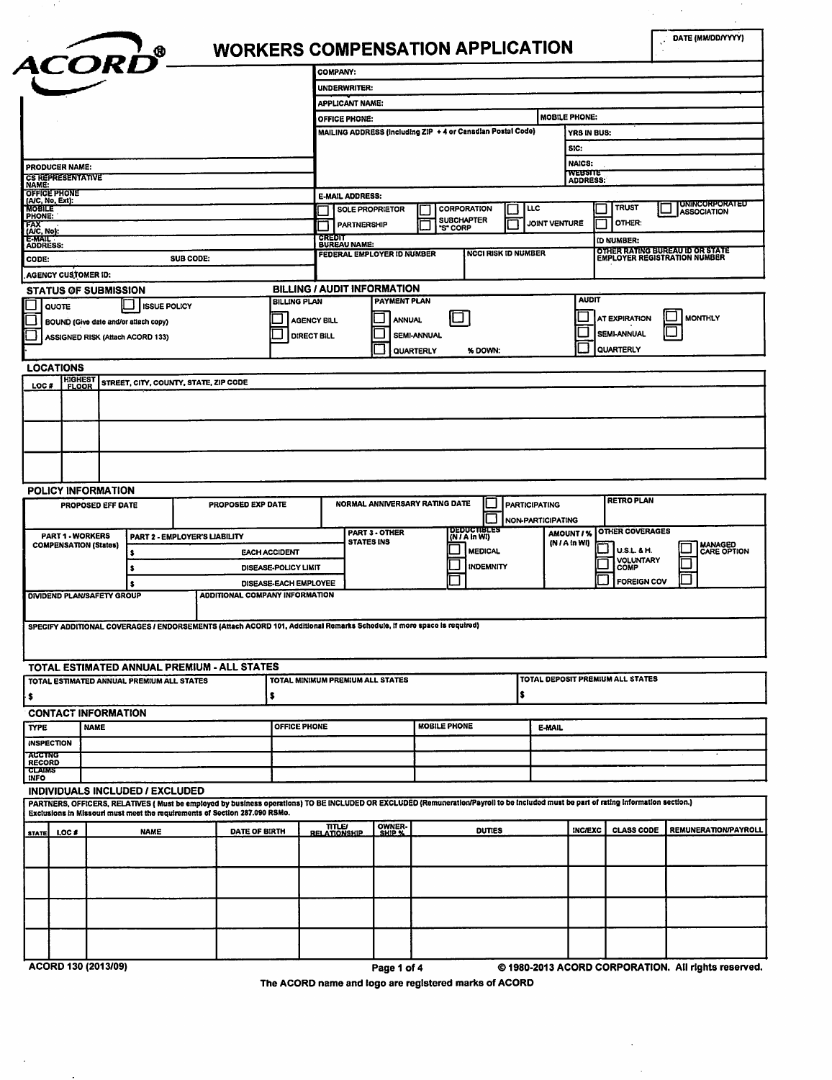| ACORD <sup>o</sup>                                                                                                                               |                                                                                                                                                                                      |                                       | <b>COMPANY:</b>                                    |                            |                                                             |                                   |                          |                          |                                     |                                             |
|--------------------------------------------------------------------------------------------------------------------------------------------------|--------------------------------------------------------------------------------------------------------------------------------------------------------------------------------------|---------------------------------------|----------------------------------------------------|----------------------------|-------------------------------------------------------------|-----------------------------------|--------------------------|--------------------------|-------------------------------------|---------------------------------------------|
|                                                                                                                                                  |                                                                                                                                                                                      |                                       | UNDERWRITER:                                       |                            |                                                             |                                   |                          |                          |                                     |                                             |
|                                                                                                                                                  |                                                                                                                                                                                      |                                       | <b>APPLICANT NAME:</b>                             |                            |                                                             |                                   |                          |                          |                                     |                                             |
|                                                                                                                                                  |                                                                                                                                                                                      |                                       | OFFICE PHONE:                                      |                            |                                                             |                                   |                          | <b>MOBILE PHONE:</b>     |                                     |                                             |
|                                                                                                                                                  |                                                                                                                                                                                      |                                       |                                                    |                            | MAILING ADDRESS (including ZIP + 4 or Canadian Postal Code) |                                   |                          | YRS IN BUS:              |                                     |                                             |
|                                                                                                                                                  |                                                                                                                                                                                      |                                       |                                                    |                            |                                                             |                                   |                          |                          |                                     |                                             |
|                                                                                                                                                  |                                                                                                                                                                                      |                                       |                                                    |                            |                                                             |                                   |                          | SIC:                     |                                     |                                             |
| PRODUCER NAME:                                                                                                                                   |                                                                                                                                                                                      |                                       |                                                    |                            |                                                             |                                   |                          | <b>NAICS:</b><br>website |                                     |                                             |
| <b>CS REPRESENTATIVE</b><br>NAME:                                                                                                                |                                                                                                                                                                                      |                                       |                                                    |                            |                                                             |                                   |                          | <b>ADDRESS:</b>          |                                     |                                             |
| <b>OFFICE PHONE</b><br>(A/C, No, Ext):                                                                                                           |                                                                                                                                                                                      |                                       | <b>E-MAIL ADDRESS:</b>                             |                            |                                                             |                                   |                          |                          |                                     |                                             |
| <b>MOBILE</b><br>PHONE:                                                                                                                          |                                                                                                                                                                                      |                                       |                                                    | <b>SOLE PROPRIETOR</b>     | CORPORATION                                                 |                                   | LLC                      |                          | TRUST                               | <b>UNINCORPORATED</b><br><b>ASSOCIATION</b> |
| FAX<br>(A/C, No):                                                                                                                                |                                                                                                                                                                                      |                                       | <b>PARTNERSHIP</b>                                 |                            | <b>SUBCHAPTER</b><br>"S" CORP                               |                                   |                          | <b>JOINT VENTURE</b>     | OTHER:                              |                                             |
| <b>E-MAIL</b><br><b>ADDRESS:</b>                                                                                                                 |                                                                                                                                                                                      |                                       | CREDH<br><b>BUREAU NAME:</b>                       |                            |                                                             |                                   |                          |                          | (D NUMBER:                          |                                             |
| CODE:                                                                                                                                            | SUB CODE:                                                                                                                                                                            |                                       |                                                    | FEDERAL EMPLOYER ID NUMBER |                                                             | <b>NCCI RISK ID NUMBER</b>        |                          |                          | <b>EMPLOYER REGISTRATION NUMBER</b> | OTHER RATING BUREAU ID OR STATE             |
|                                                                                                                                                  |                                                                                                                                                                                      |                                       |                                                    |                            |                                                             |                                   |                          |                          |                                     |                                             |
| <b>AGENCY CUSTOMER ID:</b>                                                                                                                       |                                                                                                                                                                                      |                                       |                                                    |                            |                                                             |                                   |                          |                          |                                     |                                             |
| <b>STATUS OF SUBMISSION</b>                                                                                                                      |                                                                                                                                                                                      |                                       | BILLING / AUDIT INFORMATION<br><b>BILLING PLAN</b> | <b>PAYMENT PLAN</b>        |                                                             |                                   |                          | <b>AUDIT</b>             |                                     |                                             |
| <b>QUOTE</b>                                                                                                                                     | <b>ISSUE POLICY</b>                                                                                                                                                                  |                                       |                                                    |                            |                                                             |                                   |                          |                          |                                     |                                             |
| BOUND (Give date and/or attach copy)                                                                                                             |                                                                                                                                                                                      |                                       | AGENCY BILL                                        | <b>ANNUAL</b>              |                                                             |                                   |                          |                          | AT EXPIRATION                       | MONTHLY                                     |
| ASSIGNED RISK (Attach ACORD 133)                                                                                                                 |                                                                                                                                                                                      |                                       | <b>DIRECT BILL</b>                                 |                            | SEMI-ANNUAL                                                 |                                   |                          |                          | <b>SEMI-ANNUAL</b>                  |                                             |
|                                                                                                                                                  |                                                                                                                                                                                      |                                       |                                                    |                            | QUARTERLY                                                   | % DOWN:                           |                          |                          | QUARTERLY                           |                                             |
| <b>LOCATIONS</b>                                                                                                                                 |                                                                                                                                                                                      |                                       |                                                    |                            |                                                             |                                   |                          |                          |                                     |                                             |
| <b>HIGHEST</b><br>FLOOR                                                                                                                          | STREET, CITY, COUNTY, STATE, ZIP CODE                                                                                                                                                |                                       |                                                    |                            |                                                             |                                   |                          |                          |                                     |                                             |
| LOC #                                                                                                                                            |                                                                                                                                                                                      |                                       |                                                    |                            |                                                             |                                   |                          |                          |                                     |                                             |
|                                                                                                                                                  |                                                                                                                                                                                      |                                       |                                                    |                            |                                                             |                                   |                          |                          |                                     |                                             |
|                                                                                                                                                  |                                                                                                                                                                                      |                                       |                                                    |                            |                                                             |                                   |                          |                          |                                     |                                             |
|                                                                                                                                                  |                                                                                                                                                                                      |                                       |                                                    |                            |                                                             |                                   |                          |                          |                                     |                                             |
|                                                                                                                                                  |                                                                                                                                                                                      |                                       |                                                    |                            |                                                             |                                   |                          |                          |                                     |                                             |
|                                                                                                                                                  |                                                                                                                                                                                      |                                       |                                                    |                            |                                                             |                                   |                          |                          |                                     |                                             |
|                                                                                                                                                  |                                                                                                                                                                                      |                                       |                                                    |                            |                                                             |                                   |                          |                          |                                     |                                             |
|                                                                                                                                                  |                                                                                                                                                                                      |                                       |                                                    |                            |                                                             |                                   |                          |                          |                                     |                                             |
|                                                                                                                                                  |                                                                                                                                                                                      |                                       |                                                    |                            |                                                             |                                   |                          |                          |                                     |                                             |
|                                                                                                                                                  |                                                                                                                                                                                      |                                       |                                                    |                            |                                                             |                                   |                          |                          |                                     |                                             |
| POLICY INFORMATION                                                                                                                               |                                                                                                                                                                                      |                                       |                                                    |                            |                                                             |                                   |                          |                          |                                     |                                             |
| PROPOSED EFF DATE                                                                                                                                |                                                                                                                                                                                      | <b>PROPOSED EXP DATE</b>              |                                                    |                            | NORMAL ANNIVERSARY RATING DATE                              |                                   | <b>PARTICIPATING</b>     |                          | <b>RETRO PLAN</b>                   |                                             |
|                                                                                                                                                  |                                                                                                                                                                                      |                                       |                                                    |                            |                                                             |                                   | <b>NON-PARTICIPATING</b> |                          |                                     |                                             |
| <b>PART 1 - WORKERS</b>                                                                                                                          | PART 2 - EMPLOYER'S LIABILITY                                                                                                                                                        |                                       |                                                    | <b>PART 3 - OTHER</b>      |                                                             | <b>DEDUCTIBLES</b><br>$(N/Am$ WI) |                          | AMOUNT / %               | <b>OTHER COVERAGES</b>              |                                             |
| <b>COMPENSATION (States)</b>                                                                                                                     |                                                                                                                                                                                      |                                       |                                                    | <b>STATES INS</b>          |                                                             |                                   |                          | $(N / A \ln W)$          |                                     |                                             |
|                                                                                                                                                  |                                                                                                                                                                                      | <b>EACH ACCIDENT</b>                  |                                                    |                            |                                                             | <b>MEDICAL</b>                    |                          |                          | <b>U.S.L. &amp; H.</b>              |                                             |
|                                                                                                                                                  |                                                                                                                                                                                      | DISEASE-POLICY LIMIT                  |                                                    |                            |                                                             | INDEMNITY                         |                          |                          | <b>VOLUNTARY</b><br>COMP            |                                             |
|                                                                                                                                                  |                                                                                                                                                                                      | DISEASE-EACH EMPLOYEE                 |                                                    |                            |                                                             |                                   |                          |                          | <b>FOREIGN COV</b>                  |                                             |
|                                                                                                                                                  |                                                                                                                                                                                      | <b>ADDITIONAL COMPANY INFORMATION</b> |                                                    |                            |                                                             |                                   |                          |                          |                                     |                                             |
|                                                                                                                                                  |                                                                                                                                                                                      |                                       |                                                    |                            |                                                             |                                   |                          |                          |                                     |                                             |
|                                                                                                                                                  |                                                                                                                                                                                      |                                       |                                                    |                            |                                                             |                                   |                          |                          |                                     |                                             |
|                                                                                                                                                  | SPECIFY ADDITIONAL COVERAGES / ENDORSEMENTS (Attach ACORD 101, Additional Remarks Schedule, if more space is required)                                                               |                                       |                                                    |                            |                                                             |                                   |                          |                          |                                     |                                             |
|                                                                                                                                                  |                                                                                                                                                                                      |                                       |                                                    |                            |                                                             |                                   |                          |                          |                                     |                                             |
|                                                                                                                                                  |                                                                                                                                                                                      |                                       |                                                    |                            |                                                             |                                   |                          |                          |                                     |                                             |
|                                                                                                                                                  | TOTAL ESTIMATED ANNUAL PREMIUM - ALL STATES                                                                                                                                          |                                       |                                                    |                            |                                                             |                                   |                          |                          |                                     |                                             |
|                                                                                                                                                  |                                                                                                                                                                                      |                                       | TOTAL MINIMUM PREMIUM ALL STATES                   |                            |                                                             |                                   |                          |                          | TOTAL DEPOSIT PREMIUM ALL STATES    |                                             |
|                                                                                                                                                  |                                                                                                                                                                                      | s                                     |                                                    |                            |                                                             |                                   | \$                       |                          |                                     |                                             |
|                                                                                                                                                  |                                                                                                                                                                                      |                                       |                                                    |                            |                                                             |                                   |                          |                          |                                     |                                             |
|                                                                                                                                                  |                                                                                                                                                                                      |                                       |                                                    |                            |                                                             |                                   |                          |                          |                                     |                                             |
| <b>NAME</b>                                                                                                                                      |                                                                                                                                                                                      |                                       | OFFICE PHONE                                       |                            | <b>MOBILE PHONE</b>                                         |                                   | E-MAIL                   |                          |                                     |                                             |
| <b>DIVIDEND PLAN/SAFETY GROUP</b><br>TOTAL ESTIMATED ANNUAL PREMIUM ALL STATES<br><b>CONTACT INFORMATION</b><br><b>TYPE</b><br><b>INSPECTION</b> |                                                                                                                                                                                      |                                       |                                                    |                            |                                                             |                                   |                          |                          |                                     | <b>MANAGED<br/>CARE OPTION</b>              |
| ACCTNG                                                                                                                                           |                                                                                                                                                                                      |                                       |                                                    |                            |                                                             |                                   |                          |                          |                                     |                                             |
|                                                                                                                                                  |                                                                                                                                                                                      |                                       |                                                    |                            |                                                             |                                   |                          |                          |                                     |                                             |
| <b>RECORD</b><br><b>CLAIMS</b><br><b>INFO</b>                                                                                                    |                                                                                                                                                                                      |                                       |                                                    |                            |                                                             |                                   |                          |                          |                                     |                                             |
|                                                                                                                                                  |                                                                                                                                                                                      |                                       |                                                    |                            |                                                             |                                   |                          |                          |                                     |                                             |
|                                                                                                                                                  | PARTNERS, OFFICERS, RELATIVES (Must be employed by business operations) TO BE INCLUDED OR EXCLUDED (Remuneration/Payroll to be included must be part of rating information section.) |                                       |                                                    |                            |                                                             |                                   |                          |                          |                                     |                                             |
|                                                                                                                                                  | Exclusions in Missouri must meet the requirements of Section 287.090 RSMo.                                                                                                           |                                       |                                                    |                            |                                                             |                                   |                          |                          |                                     |                                             |
| LOC #                                                                                                                                            | <b>NAME</b>                                                                                                                                                                          | DATE OF BIRTH                         |                                                    | OWNER-<br>SHIP %           |                                                             | <b>DUTIES</b>                     |                          | INC/EXC                  | <b>CLASS CODE</b>                   |                                             |
|                                                                                                                                                  |                                                                                                                                                                                      |                                       | TITLEJ<br>RELATIONSKIP                             |                            |                                                             |                                   |                          |                          |                                     | <b>REMUNERATION/PAYROLL</b>                 |
|                                                                                                                                                  |                                                                                                                                                                                      |                                       |                                                    |                            |                                                             |                                   |                          |                          |                                     |                                             |
|                                                                                                                                                  |                                                                                                                                                                                      |                                       |                                                    |                            |                                                             |                                   |                          |                          |                                     |                                             |
|                                                                                                                                                  |                                                                                                                                                                                      |                                       |                                                    |                            |                                                             |                                   |                          |                          |                                     |                                             |
| <b>INDIVIDUALS INCLUDED / EXCLUDED</b><br><b>STATE</b>                                                                                           |                                                                                                                                                                                      |                                       |                                                    |                            |                                                             |                                   |                          |                          |                                     |                                             |
|                                                                                                                                                  |                                                                                                                                                                                      |                                       |                                                    |                            |                                                             |                                   |                          |                          |                                     |                                             |
|                                                                                                                                                  |                                                                                                                                                                                      |                                       |                                                    |                            |                                                             |                                   |                          |                          |                                     |                                             |
|                                                                                                                                                  |                                                                                                                                                                                      |                                       |                                                    |                            |                                                             |                                   |                          |                          |                                     |                                             |
|                                                                                                                                                  |                                                                                                                                                                                      |                                       |                                                    |                            |                                                             |                                   |                          |                          |                                     |                                             |

 $\mathcal{O}_{\mathbf{Z}}$  , where  $\mathcal{O}_{\mathbf{Z}}$ 

 $\sim$   $\sim$ 

- 67

 $\sim$ 

 $\sim$ 

 $\ddot{\phantom{0}}$ 

1980-2 Page 1 of 4<br>The ACORD name and logo are registered marks of ACORD

 $\hat{\boldsymbol{\beta}}$ 

 $\mathcal{L}_{\mathcal{L}}$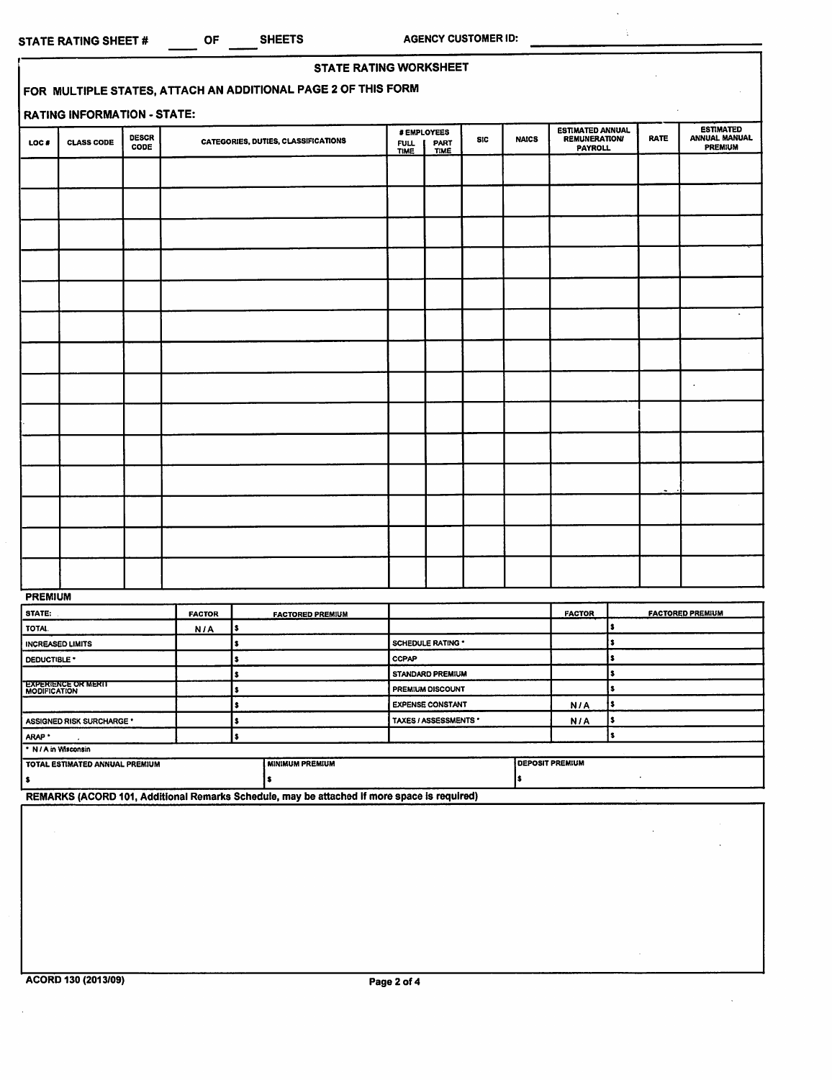*RATE*

 $\hat{\boldsymbol{\gamma}}$ 

 $\ddot{\phantom{a}}$ 

 $\ddot{\phantom{a}}$ Ğ.

*ESTIMATED ANNUAL MANUAL PREMIUM*

|       |                                    |                      | <b>STATE RATING WORKSHEET</b>                                 |                            |                                           |            |              |                                                                   |
|-------|------------------------------------|----------------------|---------------------------------------------------------------|----------------------------|-------------------------------------------|------------|--------------|-------------------------------------------------------------------|
|       |                                    |                      | FOR MULTIPLE STATES, ATTACH AN ADDITIONAL PAGE 2 OF THIS FORM |                            |                                           |            |              |                                                                   |
|       | <b>RATING INFORMATION - STATE:</b> |                      |                                                               |                            |                                           |            |              |                                                                   |
| LOC # | <b>CLASS CODE</b>                  | <b>DESCR</b><br>CODE | CATEGORIES, DUTIES, CLASSIFICATIONS                           | <b>FULL</b><br><b>TIME</b> | # EMPLOYEES<br><b>PART</b><br><b>TIME</b> | <b>SIC</b> | <b>NAICS</b> | <b>ESTIMATED ANNUAL</b><br><b>REMUNERATION/</b><br><b>PAYROLL</b> |
|       |                                    |                      |                                                               |                            |                                           |            |              |                                                                   |
|       |                                    |                      |                                                               |                            |                                           |            |              |                                                                   |
|       |                                    |                      |                                                               |                            |                                           |            |              |                                                                   |
|       |                                    |                      |                                                               |                            |                                           |            |              |                                                                   |
|       |                                    |                      |                                                               |                            |                                           |            |              |                                                                   |
|       |                                    |                      |                                                               |                            |                                           |            |              |                                                                   |

| -- |  |  |  |  |      |  |
|----|--|--|--|--|------|--|
|    |  |  |  |  | $-1$ |  |
|    |  |  |  |  |      |  |
|    |  |  |  |  |      |  |
|    |  |  |  |  |      |  |
|    |  |  |  |  |      |  |

| <b>PREMIUM</b>                                    |               |  |                         |                          |                        |               |                         |  |  |
|---------------------------------------------------|---------------|--|-------------------------|--------------------------|------------------------|---------------|-------------------------|--|--|
| <b>STATE:</b>                                     | <b>FACTOR</b> |  | <b>FACTORED PREMIUM</b> |                          |                        | <b>FACTOR</b> | <b>FACTORED PREMIUM</b> |  |  |
| TOTAL                                             | N/A           |  |                         |                          |                        |               |                         |  |  |
| <b>INCREASED LIMITS</b>                           |               |  |                         | <b>SCHEDULE RATING *</b> |                        |               |                         |  |  |
| DEDUCTIBLE *                                      |               |  |                         | <b>CCPAP</b>             |                        |               |                         |  |  |
|                                                   |               |  |                         | STANDARD PREMIUM         |                        |               |                         |  |  |
| <b>EXPERIENCE OR MERIT</b><br><b>MODIFICATION</b> |               |  | PREMIUM DISCOUNT        |                          |                        |               |                         |  |  |
|                                                   |               |  |                         | <b>EXPENSE CONSTANT</b>  |                        | N/A           |                         |  |  |
| <b>ASSIGNED RISK SURCHARGE *</b>                  |               |  |                         | TAXES / ASSESSMENTS *    |                        | N/A           |                         |  |  |
| ARAP <sup>*</sup>                                 |               |  |                         |                          |                        |               |                         |  |  |
| * N / A in Wisconsin                              |               |  |                         |                          |                        |               |                         |  |  |
| TOTAL ESTIMATED ANNUAL PREMIUM                    |               |  | <b>MINIMUM PREMIUM</b>  |                          | <b>DEPOSIT PREMIUM</b> |               |                         |  |  |
|                                                   |               |  |                         |                          |                        |               |                         |  |  |

*REMARKS (ACORD 101, Additional Remarks Schedule, may be attached If more space is required)*

 $\mathcal{L}$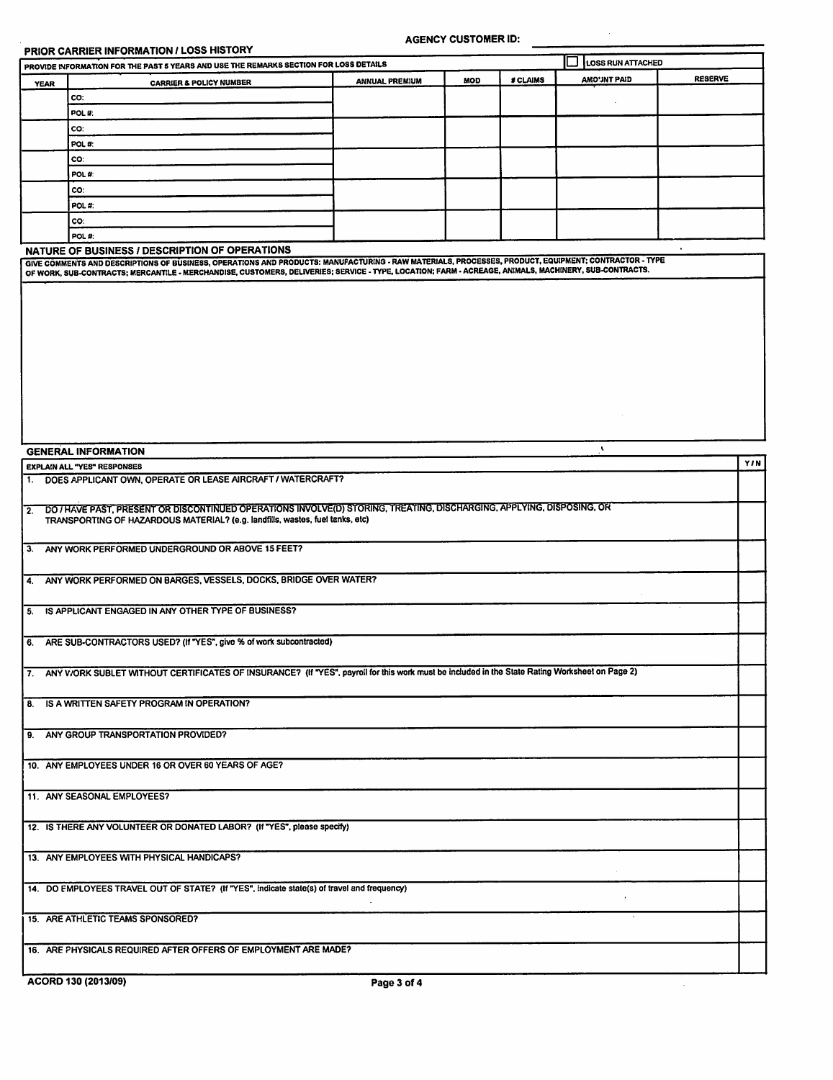## *PRIOR CARRIER INFORMATION / LOSS HISTORY*

*AGENCY CUSTOMER ID:*

 $\bar{\mathbf{r}}$ 

|             | PROVIDE INFORMATION FOR THE PAST 5 YEARS AND USE THE REMARKS SECTION FOR LOSS DETAILS | C<br>LOSS RUN ATTACHED |                |  |  |
|-------------|---------------------------------------------------------------------------------------|------------------------|----------------|--|--|
| <b>YEAR</b> | <b>CARRIER &amp; POLICY NUMBER</b>                                                    | <b>AMO'JNT PAID</b>    | <b>RESERVE</b> |  |  |
|             | CO.                                                                                   |                        |                |  |  |
|             | POL#:                                                                                 |                        |                |  |  |
|             | CO:                                                                                   |                        |                |  |  |
|             | POL#:                                                                                 |                        |                |  |  |
|             | co:                                                                                   |                        |                |  |  |
|             | POL#                                                                                  |                        |                |  |  |
|             | CO:                                                                                   |                        |                |  |  |
|             | POL#                                                                                  |                        |                |  |  |
|             | lco∶                                                                                  |                        |                |  |  |
|             | POL#:                                                                                 |                        |                |  |  |

## *NATURE OF BUSINESS / DESCRIPTION OF OPERATIONS*

GIVE COMMENTS AND DESCRIPTIONS OF BUSINESS, OPERATIONS AND PRODUCTS: MANUFACTURING - RAW MATERIALS, PROCESSES, PRODUCT, EQUIPMENT, CONTRACTOR - TYPE<br>OF WORK, SUB-CONTRACTS; MERCANTILE - MERCHANDISE, CUSTOMERS, DELIVERIES;

| <b>GENERAL INFORMATION</b>                                                                                                                                                                                | $\mathbf{v}$ |
|-----------------------------------------------------------------------------------------------------------------------------------------------------------------------------------------------------------|--------------|
| <b>EXPLAIN ALL "YES" RESPONSES</b>                                                                                                                                                                        | <b>Y/N</b>   |
| 1. DOES APPLICANT OWN, OPERATE OR LEASE AIRCRAFT / WATERCRAFT?                                                                                                                                            |              |
| 2. DO / HAVE PAST, PRESENT OR DISCONTINUED OPERATIONS INVOLVE(D) STORING, TREATING, DISCHARGING, APPLYING, DISPOSING, OR<br>TRANSPORTING OF HAZARDOUS MATERIAL? (e.g. landfills, wastes, fuel tanks, etc) |              |
| 3. ANY WORK PERFORMED UNDERGROUND OR ABOVE 15 FEET?                                                                                                                                                       |              |
| ANY WORK PERFORMED ON BARGES, VESSELS, DOCKS, BRIDGE OVER WATER?<br>4.                                                                                                                                    |              |
| IS APPLICANT ENGAGED IN ANY OTHER TYPE OF BUSINESS?<br>5.                                                                                                                                                 |              |
| 6. ARE SUB-CONTRACTORS USED? (If "YES", give % of work subcontracted)                                                                                                                                     |              |
| 7. ANY V/ORK SUBLET WITHOUT CERTIFICATES OF INSURANCE? (If "YES", payroll for this work must be included in the State Rating Worksheet on Page 2)                                                         |              |
| IS A WRITTEN SAFETY PROGRAM IN OPERATION?<br>8.                                                                                                                                                           |              |
| 9. ANY GROUP TRANSPORTATION PROVIDED?                                                                                                                                                                     |              |
| 10. ANY EMPLOYEES UNDER 16 OR OVER 60 YEARS OF AGE?                                                                                                                                                       |              |
| 11. ANY SEASONAL EMPLOYEES?                                                                                                                                                                               |              |
| 12. IS THERE ANY VOLUNTEER OR DONATED LABOR? (If "YES", please specify)                                                                                                                                   |              |
| 13. ANY EMPLOYEES WITH PHYSICAL HANDICAPS?                                                                                                                                                                |              |
| 14. DO EMPLOYEES TRAVEL OUT OF STATE? (If "YES", indicate state(s) of travel and frequency)                                                                                                               |              |
| 15. ARE ATHLETIC TEAMS SPONSORED?                                                                                                                                                                         |              |
| 16. ARE PHYSICALS REQUIRED AFTER OFFERS OF EMPLOYMENT ARE MADE?                                                                                                                                           |              |
| ACORD 130 (2013/09)<br>Page 3 of 4                                                                                                                                                                        |              |